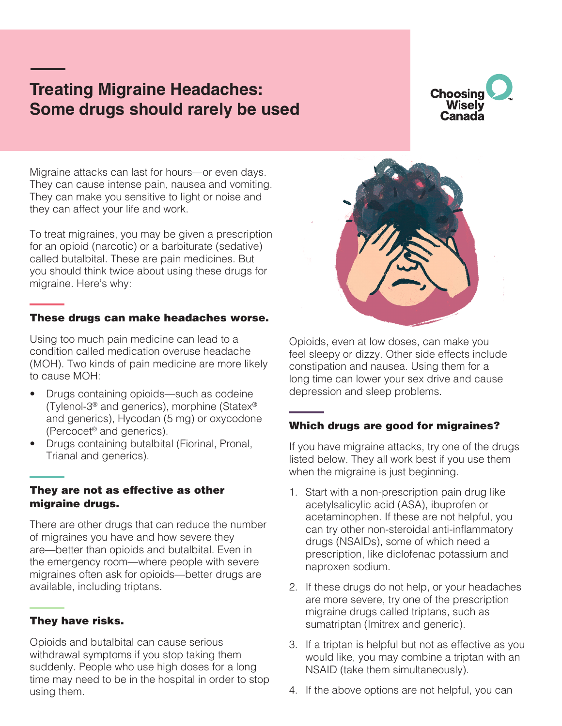# **Treating Migraine Headaches: Some drugs should rarely be used**



Migraine attacks can last for hours—or even days. They can cause intense pain, nausea and vomiting. They can make you sensitive to light or noise and they can affect your life and work.

To treat migraines, you may be given a prescription for an opioid (narcotic) or a barbiturate (sedative) called butalbital. These are pain medicines. But you should think twice about using these drugs for migraine. Here's why:

#### These drugs can make headaches worse.

Using too much pain medicine can lead to a condition called medication overuse headache (MOH). Two kinds of pain medicine are more likely to cause MOH:

- Drugs containing opioids—such as codeine (Tylenol-3® and generics), morphine (Statex® and generics), Hycodan (5 mg) or oxycodone (Percocet® and generics).
- Drugs containing butalbital (Fiorinal, Pronal, Trianal and generics).

#### They are not as effective as other migraine drugs.

There are other drugs that can reduce the number of migraines you have and how severe they are—better than opioids and butalbital. Even in the emergency room—where people with severe migraines often ask for opioids—better drugs are available, including triptans.

#### They have risks.

Opioids and butalbital can cause serious withdrawal symptoms if you stop taking them suddenly. People who use high doses for a long time may need to be in the hospital in order to stop using them.



Opioids, even at low doses, can make you feel sleepy or dizzy. Other side effects include constipation and nausea. Using them for a long time can lower your sex drive and cause depression and sleep problems.

#### Which drugs are good for migraines?

If you have migraine attacks, try one of the drugs listed below. They all work best if you use them when the migraine is just beginning.

- 1. Start with a non-prescription pain drug like acetylsalicylic acid (ASA), ibuprofen or acetaminophen. If these are not helpful, you can try other non-steroidal anti-inflammatory drugs (NSAIDs), some of which need a prescription, like diclofenac potassium and naproxen sodium.
- 2. If these drugs do not help, or your headaches are more severe, try one of the prescription migraine drugs called triptans, such as sumatriptan (Imitrex and generic).
- 3. If a triptan is helpful but not as effective as you would like, you may combine a triptan with an NSAID (take them simultaneously).
- 4. If the above options are not helpful, you can